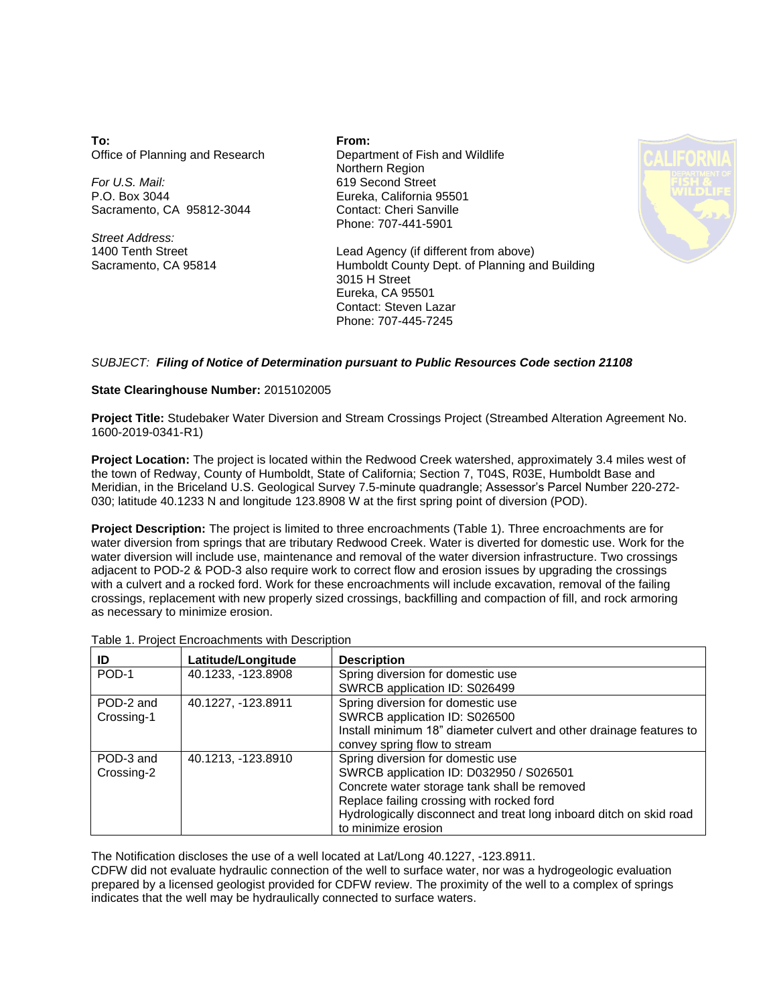**To:** Office of Planning and Research

*For U.S. Mail:* P.O. Box 3044 Sacramento, CA 95812-3044

*Street Address:* 1400 Tenth Street Sacramento, CA 95814 **From:** Department of Fish and Wildlife Northern Region 619 Second Street Eureka, California 95501 Contact: Cheri Sanville Phone: 707-441-5901



Lead Agency (if different from above) Humboldt County Dept. of Planning and Building 3015 H Street Eureka, CA 95501 Contact: Steven Lazar Phone: 707-445-7245

## *SUBJECT: Filing of Notice of Determination pursuant to Public Resources Code section 21108*

## **State Clearinghouse Number:** 2015102005

**Project Title:** Studebaker Water Diversion and Stream Crossings Project (Streambed Alteration Agreement No. 1600-2019-0341-R1)

**Project Location:** The project is located within the Redwood Creek watershed, approximately 3.4 miles west of the town of Redway, County of Humboldt, State of California; Section 7, T04S, R03E, Humboldt Base and Meridian, in the Briceland U.S. Geological Survey 7.5-minute quadrangle; Assessor's Parcel Number 220-272- 030; latitude 40.1233 N and longitude 123.8908 W at the first spring point of diversion (POD).

**Project Description:** The project is limited to three encroachments (Table 1). Three encroachments are for water diversion from springs that are tributary Redwood Creek. Water is diverted for domestic use. Work for the water diversion will include use, maintenance and removal of the water diversion infrastructure. Two crossings adjacent to POD-2 & POD-3 also require work to correct flow and erosion issues by upgrading the crossings with a culvert and a rocked ford. Work for these encroachments will include excavation, removal of the failing crossings, replacement with new properly sized crossings, backfilling and compaction of fill, and rock armoring as necessary to minimize erosion.

| <b>Fable 1. Project Encroachments with Description</b> |                    |                                                                                                                                                                           |
|--------------------------------------------------------|--------------------|---------------------------------------------------------------------------------------------------------------------------------------------------------------------------|
| ID                                                     | Latitude/Longitude | <b>Description</b>                                                                                                                                                        |
| POD-1                                                  | 40.1233, -123.8908 | Spring diversion for domestic use<br>SWRCB application ID: S026499                                                                                                        |
| POD-2 and<br>Crossing-1                                | 40.1227, -123.8911 | Spring diversion for domestic use<br>SWRCB application ID: S026500<br>Install minimum 18" diameter culvert and other drainage features to<br>convey spring flow to stream |
| POD-3 and<br>Crossing-2                                | 40.1213, -123.8910 | Spring diversion for domestic use<br>SWRCB application ID: D032950 / S026501<br>Concrete water storage tank shall be removed<br>Replace failing crossing with rocked ford |

### Table 1. Project Encroachments with Description

The Notification discloses the use of a well located at Lat/Long 40.1227, -123.8911.

CDFW did not evaluate hydraulic connection of the well to surface water, nor was a hydrogeologic evaluation prepared by a licensed geologist provided for CDFW review. The proximity of the well to a complex of springs indicates that the well may be hydraulically connected to surface waters.

to minimize erosion

Hydrologically disconnect and treat long inboard ditch on skid road